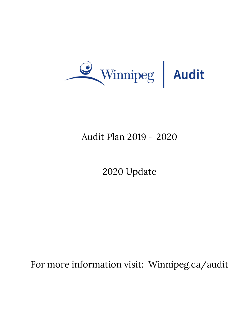

## Audit Plan 2019 – 2020

# 2020 Update

For more information visit: Winnipeg.ca/audit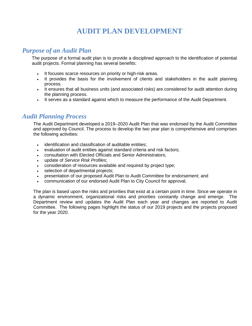## **AUDIT PLAN DEVELOPMENT**

### *Purpose of an Audit Plan*

The purpose of a formal audit plan is to provide a disciplined approach to the identification of potential audit projects. Formal planning has several benefits:

- It focuses scarce resources on priority or high-risk areas.
- It provides the basis for the involvement of clients and stakeholders in the audit planning process.
- It ensures that all business units (and associated risks) are considered for audit attention during the planning process.
- It serves as a standard against which to measure the performance of the Audit Department.

#### *Audit Planning Process*

The Audit Department developed a 2019–2020 Audit Plan that was endorsed by the Audit Committee and approved by Council. The process to develop the two year plan is comprehensive and comprises the following activities:

- identification and classification of auditable entities;
- evaluation of audit entities against standard criteria and risk factors;
- consultation with Elected Officials and Senior Administrators;
- update of *Service Risk Profiles*;
- consideration of resources available and required by project type;
- selection of departmental projects;
- presentation of our proposed Audit Plan to Audit Committee for endorsement; and
- communication of our endorsed Audit Plan to City Council for approval.

The plan is based upon the risks and priorities that exist at a certain point in time. Since we operate in a dynamic environment, organizational risks and priorities constantly change and emerge. The Department review and updates the Audit Plan each year and changes are reported to Audit Committee. The following pages highlight the status of our 2019 projects and the projects proposed for the year 2020.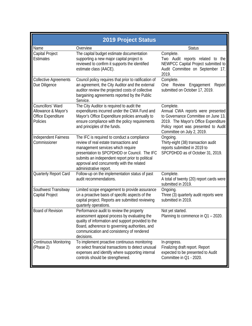| <b>2019 Project Status</b>                                                 |                                                                                                                                                                                                                                                                                                                                                                                                                                       |                                                                                                                                   |  |  |
|----------------------------------------------------------------------------|---------------------------------------------------------------------------------------------------------------------------------------------------------------------------------------------------------------------------------------------------------------------------------------------------------------------------------------------------------------------------------------------------------------------------------------|-----------------------------------------------------------------------------------------------------------------------------------|--|--|
| Name                                                                       | Overview                                                                                                                                                                                                                                                                                                                                                                                                                              | <b>Status</b>                                                                                                                     |  |  |
| Capital Project<br><b>Estimates</b>                                        | The capital budget estimate documentation<br>supporting a new major capital project is<br>reviewed to confirm it supports the identified<br>estimate class (AACE).                                                                                                                                                                                                                                                                    | Complete.<br>Two Audit reports related to the<br>NEWPCC Capital Project submitted to<br>Audit Committee on September 17,<br>2019. |  |  |
| <b>Collective Agreements</b><br>Due Diligence                              | Complete.<br>Council policy requires that prior to ratification of<br>an agreement, the City Auditor and the external<br>One Review<br>Engagement<br>Report<br>submitted on October 17, 2019.<br>auditor review the projected costs of collective<br>bargaining agreements reported by the Public<br>Service.                                                                                                                         |                                                                                                                                   |  |  |
| Councillors' Ward<br>Allowance & Mayor's<br>Office Expenditure<br>Policies | The City Auditor is required to audit the<br>Complete.<br>expenditures incurred under the CWA Fund and<br>Annual CWA reports were presented<br>Mayor's Office Expenditure policies annually to<br>to Governance Committee on June 13,<br>ensure compliance with the policy requirements<br>2019. The Mayor's Office Expenditure<br>and principles of the funds.<br>Policy report was presented to Audit<br>Committee on July 2, 2019. |                                                                                                                                   |  |  |
| Independent Fairness<br>Commissioner                                       | The IFC is required to conduct a compliance<br>review of real estate transactions and<br>management services which require<br>presentation to SPCPDHDD or Council. The IFC<br>submits an independent report prior to political<br>approval and concurrently with the related<br>administrative report.                                                                                                                                | Ongoing.<br>Thirty-eight (38) transaction audit<br>reports submitted in 2019 to<br>SPCPDHDD as of October 31, 2019.               |  |  |
| Quarterly Report Card                                                      | Follow-up on the implementation status of past<br>audit recommendations.                                                                                                                                                                                                                                                                                                                                                              | Complete.<br>A total of twenty (20) report cards were<br>submitted in 2019.                                                       |  |  |
| Southwest Transitway<br>Capital Project                                    | Limited scope engagement to provide assurance<br>on a proactive basis of specific aspects of the<br>capital project. Reports are submitted reviewing<br>quarterly operations.                                                                                                                                                                                                                                                         | Ongoing.<br>Three (3) quarterly audit reports were<br>submitted in 2019.                                                          |  |  |
| Board of Revision                                                          | Performance audit to review the property<br>assessment appeal process by evaluating the<br>quality of information and support provided to the<br>Board, adherence to governing authorities, and<br>communication and consistency of rendered<br>decisions.                                                                                                                                                                            | Not yet started.<br>Planning to commence in Q1 - 2020.                                                                            |  |  |
| <b>Continuous Monitoring</b><br>(Phase 2)                                  | To implement proactive continuous monitoring<br>on select financial transactions to detect unusual<br>expenses and identify where supporting internal<br>controls should be strengthened.                                                                                                                                                                                                                                             | In-progress.<br>Finalizing draft report. Report<br>expected to be presented to Audit<br>Committee in Q1 - 2020.                   |  |  |

П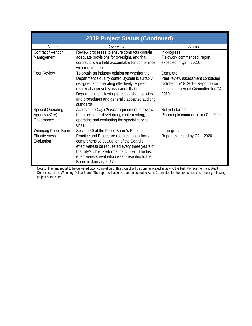| 2019 Project Status (Continued)                                          |                                                                                                                                                                                                                                                                                                                        |                                                                                                                                      |  |  |  |
|--------------------------------------------------------------------------|------------------------------------------------------------------------------------------------------------------------------------------------------------------------------------------------------------------------------------------------------------------------------------------------------------------------|--------------------------------------------------------------------------------------------------------------------------------------|--|--|--|
| Name                                                                     | Overview                                                                                                                                                                                                                                                                                                               | <b>Status</b>                                                                                                                        |  |  |  |
| Contract / Vendor<br>Management                                          | Review processes to ensure contracts contain<br>adequate provisions for oversight, and that<br>contractors are held accountable for compliance<br>with requirements.                                                                                                                                                   | In-progress.<br>Fieldwork commenced, report<br>expected in $Q2 - 2020$ .                                                             |  |  |  |
| Peer Review                                                              | To obtain an industry opinion on whether the<br>Department's quality control system is suitably<br>designed and operating effectively. A peer<br>review also provides assurance that the<br>Department is following its established policies<br>and procedures and generally accepted auditing<br>standards.           | Complete.<br>Peer review assessment conducted<br>October 15-18, 2019. Report to be<br>submitted to Audit Committee for Q4 -<br>2019. |  |  |  |
| <b>Special Operating</b><br>Agency (SOA)<br>Governance                   | Achieve the City Charter requirement to review<br>the process for developing, implementing,<br>operating and evaluating the special service<br>units.                                                                                                                                                                  | Not yet started.<br>Planning to commence in Q1 - 2020.                                                                               |  |  |  |
| Winnipeg Police Board<br><b>Effectiveness</b><br>Evaluation <sup>1</sup> | Section 50 of the Police Board's Rules of<br>Practice and Procedure requires that a formal,<br>comprehensive evaluation of the Board's<br>effectiveness be requested every three years of<br>the City's Chief Performance Officer. The last<br>effectiveness evaluation was presented to the<br>Board in January 2017. | In-progress.<br>Report expected by $Q2 - 2020$ .                                                                                     |  |  |  |

Note 1: The final report to be delivered upon completion of this project will be communicated initially to the Risk Management and Audit Committee of the Winnipeg Police Board. The report will also be communicated to Audit Committee for the next scheduled meeting following project completion.